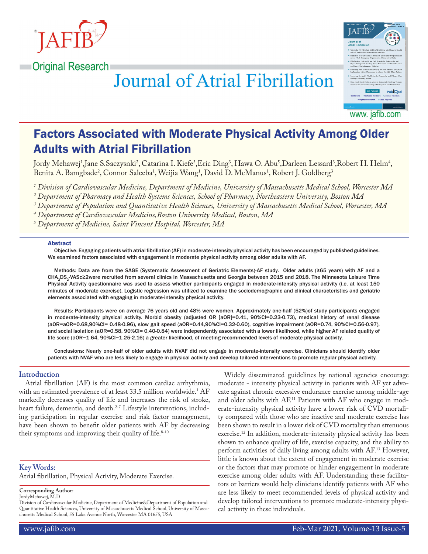





# Factors Associated with Moderate Physical Activity Among Older Adults with Atrial Fibrillation

Jordy Mehawej<sup>1</sup>,Jane S.Saczysnki<sup>2</sup>, Catarina I. Kiefe<sup>3</sup>,Eric Ding<sup>3</sup>, Hawa O. Abu<sup>3</sup>,Darleen Lessard<sup>3</sup>,Robert H. Helm<sup>4</sup>, Benita A. Bamgbade<sup>2</sup>, Connor Saleeba<sup>1</sup>, Weijia Wang<sup>1</sup>, David D. McManus<sup>1</sup>, Robert J. Goldberg<sup>3</sup>

*1 Division of Cardiovascular Medicine, Department of Medicine, University of Massachusetts Medical School, Worcester MA*

*2 Department of Pharmacy and Health Systems Sciences, School of Pharmacy, Northeastern University, Boston MA* 

*3 Department of Population and Quantitative Health Sciences, University of Massachusetts Medical School, Worcester, MA* 

*4 Department of Cardiovascular Medicine,Boston University Medical, Boston, MA*

*5 Department of Medicine, Saint Vincent Hospital, Worcester, MA*

#### Abstract

Objective: Engaging patients with atrial fibrillation (AF) in moderate-intensity physical activity has been encouraged by published guidelines. We examined factors associated with engagement in moderate physical activity among older adults with AF.

Methods: Data are from the SAGE (Systematic Assessment of Geriatric Elements)-AF study. Older adults (≥65 years) with AF and a CHA<sub>2</sub>DS<sub>2</sub>-VASc≥2were recruited from several clinics in Massachusetts and Georgia between 2015 and 2018. The Minnesota Leisure Time Physical Activity questionnaire was used to assess whether participants engaged in moderate-intensity physical activity (i.e. at least 150 minutes of moderate exercise). Logistic regression was utilized to examine the sociodemographic and clinical characteristics and geriatric elements associated with engaging in moderate-intensity physical activity.

Results: Participants were on average 76 years old and 48% were women. Approximately one-half (52%)of study participants engaged in moderate-intensity physical activity. Morbid obesity (adjusted OR [aOR]=0.41, 90%CI=0.23-0.73), medical history of renal disease (aOR=aOR=0.68,90%CI= 0.48-0.96), slow gait speed (aOR=0.44,90%CI=0.32-0.60), cognitive impairment (aOR=0.74, 90%CI=0.56-0.97), and social isolation (aOR=0.58, 90%CI= 0.40-0.84) were independently associated with a lower likelihood, while higher AF related quality of life score (aOR=1.64, 90%CI=1.25-2.16) a greater likelihood, of meeting recommended levels of moderate physical activity.

Conclusions: Nearly one-half of older adults with NVAF did not engage in moderate-intensity exercise. Clinicians should identify older patients with NVAF who are less likely to engage in physical activity and develop tailored interventions to promote regular physical activity.

#### **Introduction**

Atrial fibrillation (AF) is the most common cardiac arrhythmia, with an estimated prevalence of at least 33.5 million worldwide.<sup>1</sup>  $\rm AF$ markedly decreases quality of life and increases the risk of stroke, heart failure, dementia, and death.<sup>2-7</sup> Lifestyle interventions, including participation in regular exercise and risk factor management, have been shown to benefit older patients with AF by decreasing their symptoms and improving their quality of life. $8-10$ 

**Key Words:** 

Atrial fibrillation, Physical Activity, Moderate Exercise.

**Corresponding Author:**

JordyMehawej, M.D

Division of Cardiovascular Medicine, Department of Medicine&Department of Population and Quantitative Health Sciences, University of Massachusetts Medical School, University of Massachusetts Medical School, 55 Lake Avenue North, Worcester MA 01655, USA

Widely disseminated guidelines by national agencies encourage moderate - intensity physical activity in patients with AF yet advocate against chronic excessive endurance exercise among middle-age and older adults with AF.<sup>11</sup> Patients with AF who engage in moderate-intensity physical activity have a lower risk of CVD mortality compared with those who are inactive and moderate exercise has been shown to result in a lower risk of CVD mortality than strenuous exercise.12 In addition, moderate-intensity physical activity has been shown to enhance quality of life, exercise capacity, and the ability to perform activities of daily living among adults with AF.13 However, little is known about the extent of engagement in moderate exercise or the factors that may promote or hinder engagement in moderate exercise among older adults with AF. Understanding these facilitators or barriers would help clinicians identify patients with AF who are less likely to meet recommended levels of physical activity and develop tailored interventions to promote moderate-intensity physical activity in these individuals.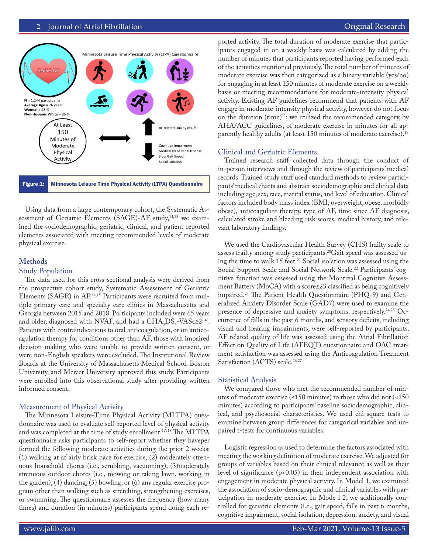

Using data from a large contemporary cohort, the Systematic Assessment of Geriatric Elements (SAGE)-AF study,<sup>14,15</sup> we examined the sociodemographic, geriatric, clinical, and patient reported elements associated with meeting recommended levels of moderate physical exercise.

#### **Methods**

#### Study Population

The data used for this cross-sectional analysis were derived from the prospective cohort study, Systematic Assessment of Geriatric Elements (SAGE) in AF.14,15 Participants were recruited from multiple primary care and specialty care clinics in Massachusetts and Georgia between 2015 and 2018. Participants included were 65 years and older, diagnosed with NVAF, and had a  $\text{CHA}_{2}\text{DS}_{2}\text{-VASc22}$  <sup>16</sup>. Patients with contraindications to oral anticoagulation, or on anticoagulation therapy for conditions other than AF, those with impaired decision making who were unable to provide written consent, or were non-English speakers were excluded. The Institutional Review Boards at the University of Massachusetts Medical School, Boston University, and Mercer University approved this study. Participants were enrolled into this observational study after providing written informed consent.

#### Measurement of Physical Activity

The Minnesota Leisure-Time Physical Activity (MLTPA) questionnaire was used to evaluate self-reported level of physical activity and was completed at the time of study enrollment.<sup>17, 18</sup> The MLTPA questionnaire asks participants to self-report whether they haveper formed the following moderate activities during the prior 2 weeks: (1) walking at af airly brisk pace for exercise, (2) moderately strenuous household chores (i.e., scrubbing, vacuuming), (3)moderately strenuous outdoor chores (i.e., mowing or raking lawn, working in the garden), (4) dancing, (5) bowling, or (6) any regular exercise program other than walking such as stretching, strengthening exercises, or swimming. The questionnaire assesses the frequency (how many times) and duration (in minutes) participants spend doing each reported activity. The total duration of moderate exercise that participants engaged in on a weekly basis was calculated by adding the number of minutes that participants reported having performed each of the activities mentioned previously. The total number of minutes of moderate exercise was then categorized as a binary variable (yes/no) for engaging in at least 150 minutes of moderate exercise on a weekly basis or meeting recommendations for moderate-intensity physical activity. Existing AF guidelines recommend that patients with AF engage in moderate-intensity physical activity, however do not focus on the duration (time)<sup>11</sup>; we utilized the recommended category, by AHA/ACC guidelines, of moderate exercise in minutes for all apparently healthy adults (at least 150 minutes of moderate exercise).<sup>19</sup>

#### Clinical and Geriatric Elements

Trained research staff collected data through the conduct of in-person interviews and through the review of participants' medical records. Trained study staff used standard methods to review participants' medical charts and abstract sociodemographic and clinical data including age, sex, race, marital status, and level of education. Clinical factors included body mass index (BMI; overweight, obese, morbidly obese), anticoagulant therapy, type of AF, time since AF diagnosis, calculated stroke and bleeding risk scores, medical history, and relevant laboratory findings.

We used the Cardiovascular Health Survey (CHS) frailty scale to assess frailty among study participants.<sup>20</sup>Gait speed was assessed using the time to walk 15 feet.<sup>21</sup> Social isolation was assessed using the Social Support Scale and Social Network Scale.<sup>22</sup> Participants' cognitive function was assessed using the Montreal Cognitive Assessment Battery (MoCA) with a score≤23 classified as being cognitively impaired.23 The Patient Health Questionnaire (PHQ-9) and Generalized Anxiety Disorder Scale (GAD7) were used to examine the presence of depressive and anxiety symptoms, respectively.<sup>24,25</sup> Occurrence of falls in the past 6 months, and sensory deficits, including visual and hearing impairments, were self-reported by participants. AF related quality of life was assessed using the Atrial Fibrillation Effect on Quality of Life (AFEQT) questionnaire and OAC treatment satisfaction was assessed using the Anticoagulation Treatment Satisfaction (ACTS) scale.<sup>26,27</sup>

#### Statistical Analysis

We compared those who met the recommended number of minutes of moderate exercise (≥150 minutes) to those who did not (<150 minutes) according to participants' baseline sociodemographic, clinical, and psychosocial characteristics. We used chi-square tests to examine between group differences for categorical variables and unpaired t-tests for continuous variables.

Logistic regression as used to determine the factors associated with meeting the working definition of moderate exercise. We adjusted for groups of variables based on their clinical relevance as well as their level of significance  $(p<0.05)$  in their independent association with engagement in moderate physical activity. In Model 1, we examined the association of socio-demographic and clinical variables with participation in moderate exercise. In Mode l 2, we additionally controlled for geriatric elements (i.e., gait speed, falls in past 6 months, cognitive impairment, social isolation, depression, anxiety, and visual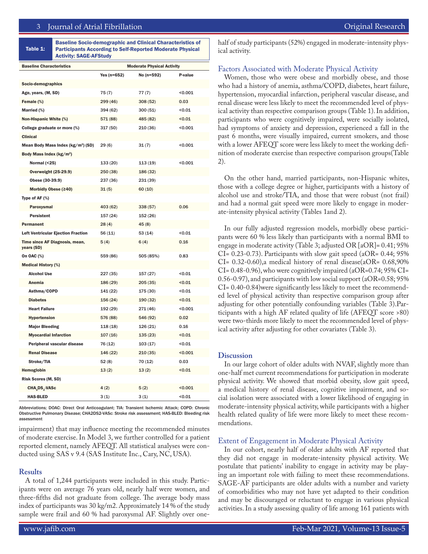Table 1: Baseline Socio-demographic and Clinical Characteristics of Participants According to Self-Reported Moderate Physical Activity: SAGE-AFStudy

| <b>Baseline Characteristics</b>                | <b>Moderate Physical Activity</b> |            |         |
|------------------------------------------------|-----------------------------------|------------|---------|
|                                                | Yes ( $n=652$ )                   | No (n=592) | P-value |
| Socio-demographics                             |                                   |            |         |
| Age, years, (M, SD)                            | 75(7)                             | 77(7)      | < 0.001 |
| Female (%)                                     | 299 (46)                          | 308(52)    | 0.03    |
| Married (%)                                    | 394 (62)                          | 300(51)    | < 0.01  |
| Non-Hispanic White (%)                         | 571 (88)                          | 485 (82)   | < 0.01  |
| College graduate or more (%)                   | 317 (50)                          | 210 (36)   | < 0.001 |
| <b>Clinical</b>                                |                                   |            |         |
| Mean Body Mass Index (kg/m <sup>2</sup> ) (SD) | 29 (6)                            | 31(7)      | < 0.001 |
| Body Mass Index (kg/m <sup>2</sup> )           |                                   |            |         |
| Normal (<25)                                   | 133 (20)                          | 113(19)    | < 0.001 |
| <b>Overweight (25-29.9)</b>                    | 250 (38)                          | 186 (32)   |         |
| Obese (30-39.9)                                | 237 (36)                          | 231 (39)   |         |
| Morbidly Obese (≥40)                           | 31(5)                             | 60(10)     |         |
| Type of AF (%)                                 |                                   |            |         |
| Paroxysmal                                     | 403 (62)                          | 338 (57)   | 0.06    |
| <b>Persistent</b>                              | 157 (24)                          | 152(26)    |         |
| <b>Permanent</b>                               | 28(4)                             | 45(8)      |         |
| <b>Left Ventricular Ejection Fraction</b>      | 56 (11)                           | 53(14)     | <0.01   |
| Time since AF Diagnosis, mean,<br>years (SD)   | 5(4)                              | 6(4)       | 0.16    |
| On OAC (%)                                     | 559 (86)                          | 505 (85%)  | 0.83    |
| <b>Medical History (%)</b>                     |                                   |            |         |
| <b>Alcohol Use</b>                             | 227 (35)                          | 157 (27)   | 0.01    |
| Anemia                                         | 186 (29)                          | 205(35)    | 0.01    |
| Asthma/COPD                                    | 141 (22)                          | 175 (30)   | < 0.01  |
| <b>Diabetes</b>                                | 156 (24)                          | 190(32)    | < 0.01  |
| <b>Heart Failure</b>                           | 192 (29)                          | 271 (46)   | < 0.001 |
| Hypertension                                   | 576 (88)                          | 546 (92)   | 0.02    |
| <b>Major Bleeding</b>                          | 118(18)                           | 126 (21)   | 0.16    |
| <b>Myocardial Infarction</b>                   | 107(16)                           | 135(23)    | < 0.01  |
| Peripheral vascular disease                    | 76 (12)                           | 103(17)    | 0.01    |
| <b>Renal Disease</b>                           | 146 (22)                          | 210(35)    | < 0.001 |
| Stroke/TIA                                     | 52(8)                             | 70 (12)    | 0.03    |
| Hemoglobin                                     | 13(2)                             | 13(2)      | 0.01    |
| Risk Scores (M, SD)                            |                                   |            |         |
| CHA, DS, -VASc                                 | 4(2)                              | 5(2)       | < 0.001 |
| <b>HAS-BLED</b>                                | 3(1)                              | 3(1)       | < 0.01  |

Abbreviations; DOAC: Direct Oral Anticoagulant; TIA: Transient Ischemic Attack; COPD: Chronic Obstructive Pulmonary Disease; CHA2DS2-VASc: Stroke risk assessment; HAS-BLED: Bleeding risk assessment

impairment) that may influence meeting the recommended minutes of moderate exercise. In Model 3, we further controlled for a patient reported element, namely AFEQT. All statistical analyses were conducted using SAS v 9.4 (SAS Institute Inc., Cary, NC, USA).

#### **Results**

A total of 1,244 participants were included in this study. Participants were on average 76 years old, nearly half were women, and three-fifths did not graduate from college. The average body mass index of participants was 30 kg/m2. Approximately 14 % of the study sample were frail and 60 % had paroxysmal AF. Slightly over onehalf of study participants (52%) engaged in moderate-intensity physical activity.

#### Factors Associated with Moderate Physical Activity

Women, those who were obese and morbidly obese, and those who had a history of anemia, asthma/COPD, diabetes, heart failure, hypertension, myocardial infarction, peripheral vascular disease, and renal disease were less likely to meet the recommended level of physical activity than respective comparison groups (Table 1). In addition, participants who were cognitively impaired, were socially isolated, had symptoms of anxiety and depression, experienced a fall in the past 6 months, were visually impaired, current smokers, and those with a lower AFEQT score were less likely to meet the working definition of moderate exercise than respective comparison groups(Table 2).

On the other hand, married participants, non-Hispanic whites, those with a college degree or higher, participants with a history of alcohol use and stroke/TIA, and those that were robust (not frail) and had a normal gait speed were more likely to engage in moderate-intensity physical activity (Tables 1and 2).

In our fully adjusted regression models, morbidly obese participants were 60 % less likely than participants with a normal BMI to engage in moderate activity (Table 3; adjusted OR [aOR]= 0.41; 95% CI= 0.23-0.73). Participants with slow gait speed (aOR= 0.44; 95% CI= 0.32-0.60),a medical history of renal disease(aOR= 0.68,90%  $CI = 0.48 - 0.96$ , who were cognitively impaired (aOR=0.74; 95% CI= 0.56-0.97), and participants with low social support (aOR=0.58; 95% CI= 0.40-0.84)were significantly less likely to meet the recommended level of physical activity than respective comparison group after adjusting for other potentially confounding variables (Table 3).Participants with a high AF related quality of life (AFEQT score >80) were two-thirds more likely to meet the recommended level of physical activity after adjusting for other covariates (Table 3).

#### **Discussion**

In our large cohort of older adults with NVAF, slightly more than one-half met current recommendations for participation in moderate physical activity. We showed that morbid obesity, slow gait speed, a medical history of renal disease, cognitive impairment, and social isolation were associated with a lower likelihood of engaging in moderate-intensity physical activity, while participants with a higher health related quality of life were more likely to meet these recommendations.

#### Extent of Engagement in Moderate Physical Activity

In our cohort, nearly half of older adults with AF reported that they did not engage in moderate-intensity physical activity. We postulate that patients' inability to engage in activity may be playing an important role with failing to meet these recommendations. SAGE-AF participants are older adults with a number and variety of comorbidities who may not have yet adapted to their condition and may be discouraged or reluctant to engage in various physical activities. In a study assessing quality of life among 161 patients with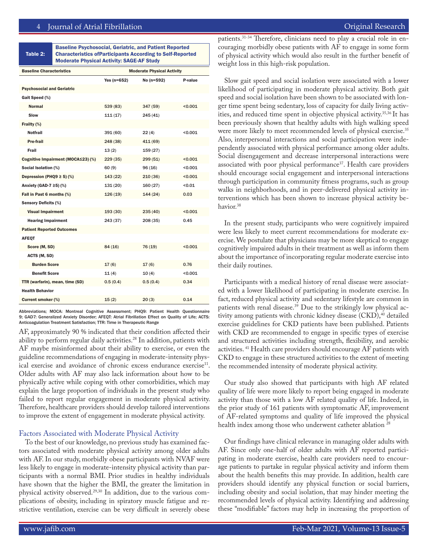|  | Original Research |  |
|--|-------------------|--|
|  |                   |  |
|  |                   |  |

| Table 2:<br><b>Characteristics of Participants According to Self-Reported</b><br><b>Moderate Physical Activity: SAGE-AF Study</b> |
|-----------------------------------------------------------------------------------------------------------------------------------|
|-----------------------------------------------------------------------------------------------------------------------------------|

| <b>Baseline Characteristics</b>    | <b>Moderate Physical Activity</b> |            |         |
|------------------------------------|-----------------------------------|------------|---------|
|                                    | Yes $(n=652)$                     | No (n=592) | P-value |
| <b>Psychosocial and Geriatric</b>  |                                   |            |         |
| Gait Speed (%)                     |                                   |            |         |
| <b>Normal</b>                      | 539 (83)                          | 347 (59)   | < 0.001 |
| Slow                               | 111(17)                           | 245 (41)   |         |
| Frailty (%)                        |                                   |            |         |
| Notfrail                           | 391 (60)                          | 22(4)      | < 0.001 |
| Pre-frail                          | 248 (38)                          | 411 (69)   |         |
| Frail                              | 13(2)                             | 159(27)    |         |
| Cognitive Impairment (MOCA≤23) (%) | 229(35)                           | 299(51)    | < 0.001 |
| Social Isolation (%)               | 60(9)                             | 96(16)     | < 0.001 |
| Depression (PHQ9 $\geq$ 5) (%)     | 143 (22)                          | 210(36)    | < 0.001 |
| Anxiety (GAD-7 $\geq$ 5) (%)       | 131(20)                           | 160(27)    | < 0.01  |
| Fall in Past 6 months (%)          | 126(19)                           | 144(24)    | 0.03    |
| <b>Sensory Deficits (%)</b>        |                                   |            |         |
| <b>Visual Impairment</b>           | 193(30)                           | 235(40)    | < 0.001 |
| <b>Hearing Impairment</b>          | 243 (37)                          | 208(35)    | 0.45    |
| <b>Patient Reported Outcomes</b>   |                                   |            |         |
| <b>AFEQT</b>                       |                                   |            |         |
| Score (M, SD)                      | 84 (16)                           | 76 (19)    | 0.001   |
| ACTS (M, SD)                       |                                   |            |         |
| <b>Burden Score</b>                | 17(6)                             | 17(6)      | 0.76    |
| <b>Benefit Score</b>               | 11(4)                             | 10(4)      | < 0.001 |
| TTR (warfarin), mean, time (SD)    | 0.5(0.4)                          | 0.5(0.4)   | 0.34    |
| <b>Health Behavior</b>             |                                   |            |         |
| <b>Current smoker (%)</b>          | 15(2)                             | 20(3)      | 0.14    |

Abbreviations; MOCA: Montreal Cognitive Assessment; PHQ9: Patient Health Questionnaire 9; GAD7: Generalized Anxiety Disorder; AFEQT: Atrial Fibrillation Effect on Quality of Life; ACTS: Anticoagulation Treatment Satisfaction; TTR: Time in Therapeutic Range

AF, approximately 90 % indicated that their condition affected their ability to perform regular daily activities.<sup>28</sup> In addition, patients with AF maybe misinformed about their ability to exercise, or even the guideline recommendations of engaging in moderate-intensity physical exercise and avoidance of chronic excess endurance exercise<sup>11</sup>. Older adults with AF may also lack information about how to be physically active while coping with other comorbidities, which may explain the large proportion of individuals in the present study who failed to report regular engagement in moderate physical activity. Therefore, healthcare providers should develop tailored interventions to improve the extent of engagement in moderate physical activity.

#### Factors Associated with Moderate Physical Activity

To the best of our knowledge, no previous study has examined factors associated with moderate physical activity among older adults with AF. In our study, morbidly obese participants with NVAF were less likely to engage in moderate-intensity physical activity than participants with a normal BMI. Prior studies in healthy individuals have shown that the higher the BMI, the greater the limitation in physical activity observed.29,30 In addition, due to the various complications of obesity, including in spiratory muscle fatigue and restrictive ventilation, exercise can be very difficult in severely obese

patients.<sup>31-34</sup> Therefore, clinicians need to play a crucial role in encouraging morbidly obese patients with AF to engage in some form of physical activity which would also result in the further benefit of weight loss in this high-risk population.

Slow gait speed and social isolation were associated with a lower likelihood of participating in moderate physical activity. Both gait speed and social isolation have been shown to be associated with longer time spent being sedentary, loss of capacity for daily living activities, and reduced time spent in objective physical activity.<sup>35,36</sup> It has been previously shown that healthy adults with high walking speed were more likely to meet recommended levels of physical exercise.<sup>35</sup> Also, interpersonal interactions and social participation were independently associated with physical performance among older adults. Social disengagement and decrease interpersonal interactions were associated with poor physical performance<sup>37</sup>. Health care providers should encourage social engagement and interpersonal interactions through participation in community fitness programs, such as group walks in neighborhoods, and in peer-delivered physical activity interventions which has been shown to increase physical activity behavior.<sup>38</sup>

In the present study, participants who were cognitively impaired were less likely to meet current recommendations for moderate exercise. We postulate that physicians may be more skeptical to engage cognitively impaired adults in their treatment as well as inform them about the importance of incorporating regular moderate exercise into their daily routines.

Participants with a medical history of renal disease were associated with a lower likelihood of participating in moderate exercise. In fact, reduced physical activity and sedentary lifestyle are common in patients with renal disease.<sup>39</sup> Due to the strikingly low physical activity among patients with chronic kidney disease (CKD),<sup>40</sup> detailed exercise guidelines for CKD patients have been published. Patients with CKD are recommended to engage in specific types of exercise and structured activities including strength, flexibility, and aerobic activities. 41 Health care providers should encourage AF patients with CKD to engage in these structured activities to the extent of meeting the recommended intensity of moderate physical activity.

Our study also showed that participants with high AF related quality of life were more likely to report being engaged in moderate activity than those with a low AF related quality of life. Indeed, in the prior study of 161 patients with symptomatic AF, improvement of AF-related symptoms and quality of life improved the physical health index among those who underwent catheter ablation<sup>28</sup>

Our findings have clinical relevance in managing older adults with AF. Since only one-half of older adults with AF reported participating in moderate exercise, health care providers need to encourage patients to partake in regular physical activity and inform them about the health benefits this may provide. In addition, health care providers should identify any physical function or social barriers, including obesity and social isolation, that may hinder meeting the recommended levels of physical activity. Identifying and addressing these "modifiable" factors may help in increasing the proportion of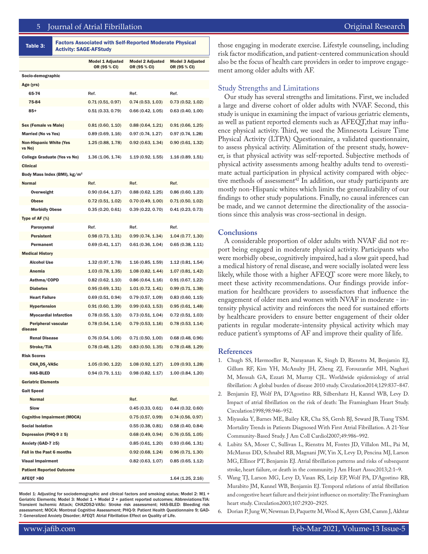#### 5 Journal of Atrial Fibrillation Original Research Featured Review

| Table 3:                                 | <b>Factors Associated with Self-Reported Moderate Physical</b><br><b>Activity: SAGE-AFStudy</b> |                                         |                                         |                                  |  |
|------------------------------------------|-------------------------------------------------------------------------------------------------|-----------------------------------------|-----------------------------------------|----------------------------------|--|
|                                          |                                                                                                 | <b>Model 1 Adjusted</b><br>OR (95 % CI) | <b>Model 2 Adjusted</b><br>OR (95 % CI) | Model 3 Adjusted<br>OR (95 % CI) |  |
| Socio-demographic                        |                                                                                                 |                                         |                                         |                                  |  |
| Age (yrs)                                |                                                                                                 |                                         |                                         |                                  |  |
| 65-74                                    |                                                                                                 | Ref.                                    | Ref.                                    | Ref.                             |  |
| 75-84                                    |                                                                                                 | 0.71(0.51, 0.97)                        | 0.74(0.53, 1.03)                        | 0.73(0.52, 1.02)                 |  |
| $85+$                                    |                                                                                                 | 0.51(0.33, 0.79)                        | 0.66(0.42, 1.05)                        | 0.63(0.40, 1.00)                 |  |
| Sex (Female vs Male)                     |                                                                                                 | 0.81(0.60, 1.10)                        | 0.88(0.64, 1.21)                        | 0.91(0.66, 1.25)                 |  |
| <b>Married (No vs Yes)</b>               |                                                                                                 | 0.89(0.69, 1.16)                        | 0.97(0.74, 1.27)                        | 0.97(0.74, 1.28)                 |  |
| <b>Non-Hispanic White (Yes</b><br>vs No) |                                                                                                 | 1.25(0.88, 1.78)                        | 0.92(0.63, 1.34)                        | 0.90(0.61, 1.32)                 |  |
| <b>College Graduate (Yes vs No)</b>      |                                                                                                 | 1.36(1.06, 1.74)                        | 1.19(0.92, 1.55)                        | 1.16(0.89, 1.51)                 |  |
| <b>Clinical</b>                          |                                                                                                 |                                         |                                         |                                  |  |
| Body Mass Index (BMI), kg/m <sup>2</sup> |                                                                                                 |                                         |                                         |                                  |  |
| <b>Normal</b>                            |                                                                                                 | Ref.                                    | Ref.                                    | Ref.                             |  |
| Overweight                               |                                                                                                 | 0.90(0.64, 1.27)                        | 0.88(0.62, 1.25)                        | 0.86(0.60, 1.23)                 |  |
| <b>Obese</b>                             |                                                                                                 | 0.72(0.51, 1.02)                        | 0.70(0.49, 1.00)                        | 0.71(0.50, 1.02)                 |  |
| <b>Morbidly Obese</b>                    |                                                                                                 | 0.35(0.20, 0.61)                        | 0.39(0.22, 0.70)                        | 0.41(0.23, 0.73)                 |  |
| Type of AF $(\%)$                        |                                                                                                 |                                         |                                         |                                  |  |
| Paroxysmal                               |                                                                                                 | Ref.                                    | Ref.                                    | Ref.                             |  |
| <b>Persistent</b>                        |                                                                                                 | 0.98(0.73, 1.31)                        | 0.99(0.74, 1.34)                        | 1.04(0.77, 1.30)                 |  |
| Permanent                                |                                                                                                 | 0.69(0.41, 1.17)                        | 0.61(0.36, 1.04)                        | 0.65(0.38, 1.11)                 |  |
| <b>Medical History</b>                   |                                                                                                 |                                         |                                         |                                  |  |
| <b>Alcohol Use</b>                       |                                                                                                 | 1.32(0.97, 1.78)                        | 1.16(0.85, 1.59)                        | 1.12(0.81, 1.54)                 |  |
| Anemia                                   |                                                                                                 | 1.03(0.78, 1.35)                        | 1.08(0.82, 1.44)                        | 1.07(0.81, 1.42)                 |  |
| Asthma/COPD                              |                                                                                                 | 0.82(0.62, 1.10)                        | 0.86(0.64, 1.16)                        | 0.91(0.67, 1.22)                 |  |
| <b>Diabetes</b>                          |                                                                                                 | 0.95(0.69, 1.31)                        | 1.01(0.72, 1.41)                        | 0.99(0.71, 1.38)                 |  |
| <b>Heart Failure</b>                     |                                                                                                 | 0.69(0.51, 0.94)                        | 0.79(0.57, 1.09)                        | 0.83(0.60, 1.15)                 |  |
| <b>Hypertension</b>                      |                                                                                                 | 0.91(0.60, 1.39)                        | 0.99(0.63, 1.53)                        | 0.95(0.61, 1.48)                 |  |
| <b>Myocardial Infarction</b>             |                                                                                                 | 0.78(0.55, 1.10)                        | 0.73(0.51, 1.04)                        | 0.72(0.51, 1.03)                 |  |
| <b>Peripheral vascular</b><br>disease    |                                                                                                 | 0.78(0.54, 1.14)                        | 0.79(0.53, 1.16)                        | 0.78(0.53, 1.14)                 |  |
| <b>Renal Disease</b>                     |                                                                                                 | 0.76(0.54, 1.06)                        | 0.71(0.50, 1.00)                        | 0.68(0.48, 0.96)                 |  |
| Stroke/TIA                               |                                                                                                 | 0.78(0.48, 1.25)                        | 0.83(0.50, 1.35)                        | 0.78(0.48, 1.29)                 |  |
| <b>Risk Scores</b>                       |                                                                                                 |                                         |                                         |                                  |  |
| CHA, DS, -VASc                           |                                                                                                 | 1.05(0.90, 1.22)                        | 1.08(0.92, 1.27)                        | 1.09(0.93, 1.28)                 |  |
| <b>HAS-BLED</b>                          |                                                                                                 | 0.94(0.79, 1.11)                        | 0.98(0.82, 1.17)                        | 1.00(0.84, 1.20)                 |  |
| <b>Geriatric Elements</b>                |                                                                                                 |                                         |                                         |                                  |  |
| <b>Gait Speed</b>                        |                                                                                                 |                                         |                                         |                                  |  |
| <b>Normal</b>                            |                                                                                                 |                                         | Ref.                                    | Ref.                             |  |
| Slow                                     |                                                                                                 |                                         | 0.45(0.33, 0.61)                        | 0.44(0.32, 0.60)                 |  |
| <b>Cognitive Impairment (MOCA)</b>       |                                                                                                 |                                         | 0.75(0.57, 0.99)                        | 0.74(0.56, 0.97)                 |  |
| <b>Social Isolation</b>                  |                                                                                                 |                                         | 0.55(0.38, 0.81)                        | 0.58(0.40, 0.84)                 |  |
| Depression (PHQ-9 $\geq$ 5)              |                                                                                                 |                                         | 0.68(0.49, 0.94)                        | 0.76(0.55, 1.05)                 |  |
| Anxiety (GAD-7 ≥5)                       |                                                                                                 |                                         | 0.85(0.61, 1.20)                        | 0.93(0.66, 1.31)                 |  |
| Fall in the Past 6 months                |                                                                                                 |                                         | 0.92(0.68, 1.24)                        | 0.96(0.71, 1.30)                 |  |
| <b>Visual Impairment</b>                 |                                                                                                 |                                         | 0.82(0.63, 1.07)                        | 0.85(0.65, 1.12)                 |  |
| <b>Patient Reported Outcome</b>          |                                                                                                 |                                         |                                         |                                  |  |
| AFEQT >80                                |                                                                                                 |                                         |                                         | 1.64(1.25, 2.16)                 |  |

Model 1: Adjusting for sociodemographic and clinical factors and smoking status; Model 2: M1 + Geriatric Elements; Model 3: Model 1 + Model 2 + patient reported outcomes; Abbreviations:TIA: Transient Ischemic Attack; CHA2DS2-VASc: Stroke risk assessment; HAS-BLED: Bleeding risk assessment; MOCA: Montreal Cognitive Assessment; PHQ-9: Patient Health Questionnaire 9; GAD-7: Generalized Anxiety Disorder; AFEQT: Atrial Fibrillation Effect on Quality of Life.

those engaging in moderate exercise. Lifestyle counseling, including risk factor modification, and patient-centered communication should also be the focus of health care providers in order to improve engagement among older adults with AF.

#### Study Strengths and Limitations

Our study has several strengths and limitations. First, we included a large and diverse cohort of older adults with NVAF. Second, this study is unique in examining the impact of various geriatric elements, as well as patient reported elements such as AFEQT,that may influence physical activity. Third, we used the Minnesota Leisure Time Physical Activity (LTPA) Questionnaire, a validated questionnaire, to assess physical activity. Alimitation of the present study, however, is that physical activity was self-reported. Subjective methods of physical activity assessments among healthy adults tend to overestimate actual participation in physical activity compared with objective methods of assessment<sup>42</sup> In addition, our study participants are mostly non-Hispanic whites which limits the generalizability of our findings to other study populations. Finally, no causal inferences can be made, and we cannot determine the directionality of the associations since this analysis was cross-sectional in design.

#### **Conclusions**

A considerable proportion of older adults with NVAF did not report being engaged in moderate physical activity. Participants who were morbidly obese, cognitively impaired, had a slow gait speed, had a medical history of renal disease, and were socially isolated were less likely, while those with a higher AFEQT score were more likely, to meet these activity recommendations. Our findings provide information for healthcare providers to assessfactors that influence the engagement of older men and women with NVAF in moderate - intensity physical activity and reinforces the need for sustained efforts by healthcare providers to ensure better engagement of their older patients in regular moderate-intensity physical activity which may reduce patient's symptoms of AF and improve their quality of life.

#### **References**

- 1. Chugh SS, Havmoeller R, Narayanan K, Singh D, Rienstra M, Benjamin EJ, Gillum RF, Kim YH, McAnulty JH, Zheng ZJ, Forouzanfar MH, Naghavi M, Mensah GA, Ezzati M, Murray CJL. Worldwide epidemiology of atrial fibrillation: A global burden of disease 2010 study. Circulation2014;129:837–847.
- 2. Benjamin EJ, Wolf PA, D'Agostino RB, Silbershatz H, Kannel WB, Levy D. Impact of atrial fibrillation on the risk of death: The Framingham Heart Study. Circulation1998;98:946–952.
- 3. Miyasaka Y, Barnes ME, Bailey KR, Cha SS, Gersh BJ, Seward JB, Tsang TSM. Mortality Trends in Patients Diagnosed With First Atrial Fibrillation. A 21-Year Community-Based Study. J Am Coll Cardiol2007;49:986–992.
- 4. Lubitz SA, Moser C, Sullivan L, Rienstra M, Fontes JD, Villalon ML, Pai M, McManus DD, Schnabel RB, Magnani JW, Yin X, Levy D, Pencina MJ, Larson MG, Ellinor PT, Benjamin EJ. Atrial fibrillation patterns and risks of subsequent stroke, heart failure, or death in the community. J Am Heart Assoc2013;2:1–9.
- 5. Wang TJ, Larson MG, Levy D, Vasan RS, Leip EP, Wolf PA, D'Agostino RB, Murabito JM, Kannel WB, Benjamin EJ. Temporal relations of atrial fibrillation and congestive heart failure and their joint influence on mortality: The Framingham heart study. Circulation2003;107:2920–2925.
- 6. Dorian P, Jung W, Newman D, Paquette M, Wood K, Ayers GM, Camm J, Akhtar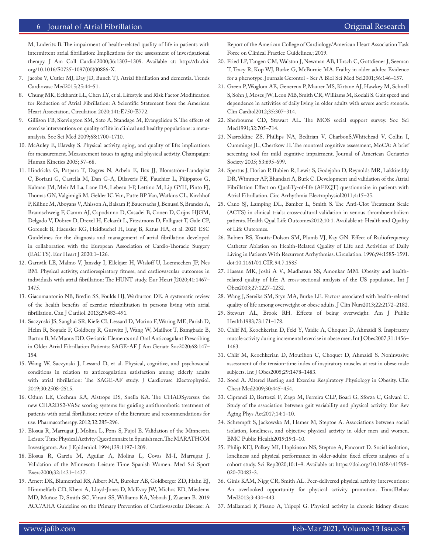#### 6 Journal of Atrial Fibrillation **Community** Community Community Community Community Community Community Community

M, Luderitz B. The impairment of health-related quality of life in patients with intermittent atrial fibrillation: Implications for the assessment of investigational therapy. J Am Coll Cardiol2000;36:1303–1309. Available at: http://dx.doi. org/10.1016/S0735-1097(00)00886-X.

- 7. Jacobs V, Cutler MJ, Day JD, Bunch TJ. Atrial fibrillation and dementia. Trends Cardiovasc Med2015;25:44–51.
- 8. Chung MK, Eckhardt LL, Chen LY, et al. Lifestyle and Risk Factor Modification for Reduction of Atrial Fibrillation: A Scientific Statement from the American Heart Association. Circulation 2020;141:E750-E772.
- 9. Gillison FB, Skevington SM, Sato A, Standage M, Evangelidou S. The effects of exercise interventions on quality of life in clinical and healthy populations: a metaanalysis. Soc Sci Med 2009;68:1700–1710.
- 10. McAuley E, Elavsky S. Physical activity, aging, and quality of life: implications for measurement. Measurement issues in aging and physical activity. Champaign: Human Kinetics 2005; 57–68.
- 11. Hindricks G, Potpara T, Dagres N, Arbelo E, Bax JJ, Blomström-Lundqvist C, Boriani G, Castella M, Dan G-A, Dilaveris PE, Fauchier L, Filippatos G, Kalman JM, Meir M La, Lane DA, Lebeau J-P, Lettino M, Lip GYH, Pinto FJ, Thomas GN, Valgimigli M, Gelder IC Van, Putte BP Van, Watkins CL, Kirchhof P, Kühne M, Aboyans V, Ahlsson A, Balsam P, Bauersachs J, Benussi S, Brandes A, Braunschweig F, Camm AJ, Capodanno D, Casadei B, Conen D, Crijns HJGM, Delgado V, Dobrev D, Drexel H, Eckardt L, Fitzsimons D, Folliguet T, Gale CP, Gorenek B, Haeusler KG, Heidbuchel H, Iung B, Katus HA, et al. 2020 ESC Guidelines for the diagnosis and management of atrial fibrillation developed in collaboration with the European Association of Cardio-Thoracic Surgery (EACTS). Eur Heart J 2020:1–126.
- 12. Garnvik LE, Malmo V, Janszky I, Ellekjær H, Wisløff U, Loennechen JP, Nes BM. Physical activity, cardiorespiratory fitness, and cardiovascular outcomes in individuals with atrial fibrillation: The HUNT study. Eur Heart J2020;41:1467– 1475.
- 13. Giacomantonio NB, Bredin SS, Foulds HJ, Warburton DE. A systematic review of the health benefits of exercise rehabilitation in persons living with atrial fibrillation. Can J Cardiol. 2013;29:483-491.
- 14. Saczynski JS, Sanghai SR, Kiefe CI, Lessard D, Marino F, Waring ME, Parish D, Helm R, Sogade F, Goldberg R, Gurwitz J, Wang W, Mailhot T, Bamgbade B, Barton B, McManus DD. Geriatric Elements and Oral Anticoagulant Prescribing in Older Atrial Fibrillation Patients: SAGE-AF. J Am Geriatr Soc2020;68:147– 154.
- 15. Wang W, Saczynski J, Lessard D, et al. Physical, cognitive, and psychosocial conditions in relation to anticoagulation satisfaction among elderly adults with atrial fibrillation: The SAGE-AF study. J Cardiovasc Electrophysiol. 2019;30:2508-2515.
- 16. Odum LE, Cochran KA, Aistrope DS, Snella KA. The CHADS₂versus the new CHA2DS2-VASc scoring systems for guiding antithrombotic treatment of patients with atrial fibrillation: review of the literature and recommendations for use. Pharmacotherapy. 2012;32:285-296.
- 17. Elosua R, Marrugat J, Molina L, Pons S, Pujol E. Validation of the Minnesota Leisure Time Physical Activity Questionnaire in Spanish men. The MARATHOM Investigators. Am J Epidemiol. 1994;139:1197-1209.
- 18. Elosua R, Garcia M, Aguilar A, Molina L, Covas M-I, Marrugat J. Validation of the Minnesota Leisure Time Spanish Women. Med Sci Sport Exerc2000;32:1431–1437.
- 19. Arnett DK, Blumenthal RS, Albert MA, Buroker AB, Goldberger ZD, Hahn EJ, Himmelfarb CD, Khera A, Lloyd-Jones D, McEvoy JW, Michos ED, Miedema MD, Muñoz D, Smith SC, Virani SS, Williams KA, Yeboah J, Ziaeian B. 2019 ACC/AHA Guideline on the Primary Prevention of Cardiovascular Disease: A

Report of the American College of Cardiology/American Heart Association Task Force on Clinical Practice Guidelines.; 2019.

- 20. Fried LP, Tangen CM, Walston J, Newman AB, Hirsch C, Gottdiener J, Seeman T, Tracy R, Kop WJ, Burke G, McBurnie MA. Frailty in older adults: Evidence for a phenotype. Journals Gerontol - Ser A Biol Sci Med Sci2001;56:146–157.
- 21. Green P, Woglom AE, Genereux P, Maurer MS, Kirtane AJ, Hawkey M, Schnell S, Sohn J, Moses JW, Leon MB, Smith CR, Williams M, Kodali S. Gait speed and dependence in activities of daily living in older adults with severe aortic stenosis. Clin Cardiol2012;35:307–314.
- 22. Sherbourne CD, Stewart AL. The MOS social support survey. Soc Sci Med1991;32:705–714.
- 23. Nasreddine ZS, Phillips NA, Bedirian V, CharbonS,Whitehead V, Collin I, Cummings JL, Chertkow H. The montreal cognitive assessment, MoCA: A brief screening tool for mild cognitive impairment. Journal of American Geriatrics Society 2005; 53:695-699.
- 24. Spertus J, Dorian P, Bubien R, Lewis S, Godejohn D, Reynolds MR, Lakkireddy DR, Wimmer AP, Bhandari A, Burk C. Development and validation of the Atrial Fibrillation Effect on QualiTy-of-life (AFEQT) questionnaire in patients with Atrial Fibrillation. Circ Arrhythmia Electrophysiol2011;4:15–25.
- 25. Cano SJ, Lamping DL, Bamber L, Smith S. The Anti-Clot Treatment Scale (ACTS) in clinical trials: cross-cultural validation in venous thromboembolism patients. Health Qual Life Outcomes2012;10:1. Available at: Health and Quality of Life Outcomes.
- 26. Bubien RS, Knotts-Dolson SM, Plumb VJ, Kay GN. Effect of Radiofrequency Catheter Ablation on Health-Related Quality of Life and Activities of Daily Living in Patients With Recurrent Arrhythmias. Circulation. 1996;94:1585-1591. doi:10.1161/01.CIR.94.7.1585
- 27. Hassan MK, Joshi A V., Madhavan SS, Amonkar MM. Obesity and healthrelated quality of life: A cross-sectional analysis of the US population. Int J Obes2003;27:1227–1232.
- 28. Wang J, Sereika SM, Styn MA, Burke LE. Factors associated with health-related quality of life among overweight or obese adults. J Clin Nurs2013;22:2172–2182.
- 29. Stewart AL, Brook RH. Effects of being overweight. Am J Public Health1983;73:171–178.
- 30. Chlif M, Keochkerian D, Feki Y, Vaidie A, Choquet D, Ahmaidi S. Inspiratory muscle activity during incremental exercise in obese men. Int J Obes2007;31:1456– 1463.
- 31. Chlif M, Keochkerian D, Mourlhon C, Choquet D, Ahmaidi S. Noninvasive assessment of the tension-time index of inspiratory muscles at rest in obese male subjects. Int J Obes2005;29:1478–1483.
- 32. Sood A. Altered Resting and Exercise Respiratory Physiology in Obesity. Clin Chest Med2009;30:445–454.
- 33. Ciprandi D, Bertozzi F, Zago M, Ferreira CLP, Boari G, Sforza C, Galvani C. Study of the association between gait variability and physical activity. Eur Rev Aging Phys Act2017;14:1–10.
- 34. Schrempft S, Jackowska M, Hamer M, Steptoe A. Associations between social isolation, loneliness, and objective physical activity in older men and women. BMC Public Health2019;19:1–10.
- 35. Philip KEJ, Polkey MI, Hopkinson NS, Steptoe A, Fancourt D. Social isolation, loneliness and physical performance in older-adults: fixed effects analyses of a cohort study. Sci Rep2020;10:1–9. Available at: https://doi.org/10.1038/s41598- 020-70483-3.
- 36. Ginis KAM, Nigg CR, Smith AL. Peer-delivered physical activity interventions: An overlooked opportunity for physical activity promotion. TranslBehav Med2013;3:434–443.
- 37. Mallamaci F, Pisano A, Tripepi G. Physical activity in chronic kidney disease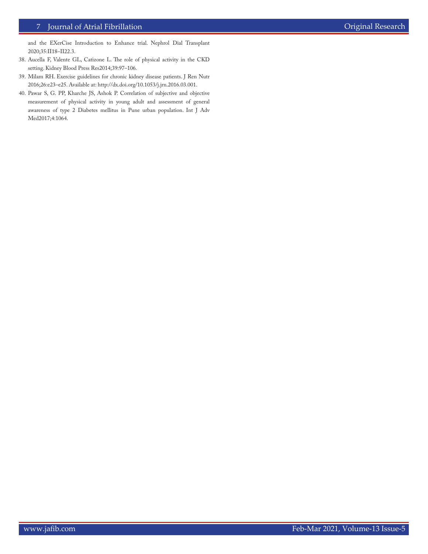#### 7 Journal of Atrial Fibrillation **Community Community** Community Community Community Community Community Community

and the EXerCise Introduction to Enhance trial. Nephrol Dial Transplant 2020;35:II18–II22.3.

- 38. Aucella F, Valente GL, Catizone L. The role of physical activity in the CKD setting. Kidney Blood Press Res2014;39:97–106.
- 39. Milam RH. Exercise guidelines for chronic kidney disease patients. J Ren Nutr 2016;26:e23–e25. Available at: http://dx.doi.org/10.1053/j.jrn.2016.03.001.
- 40. Pawar S, G. PP, Kharche JS, Ashok P. Correlation of subjective and objective measurement of physical activity in young adult and assessment of general awareness of type 2 Diabetes mellitus in Pune urban population. Int J Adv Med2017;4:1064.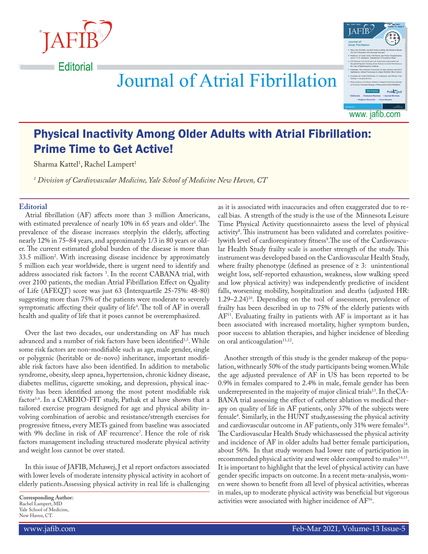



# **Journal of Atrial Fibrillation**

# Physical Inactivity Among Older Adults with Atrial Fibrillation: Prime Time to Get Active!

Sharma Kattel<sup>1</sup>, Rachel Lampert<sup>1</sup>

*1 Division of Cardiovascular Medicine, Yale School of Medicine New Haven, CT*

### **Editorial**

Atrial fibrillation (AF) affects more than 3 million Americans, with estimated prevalence of nearly 10% in 65 years and older<sup>1</sup>. The prevalence of the disease increases steeplyin the elderly, affecting nearly 12% in 75–84 years, and approximately 1/3 in 80 years or older. The current estimated global burden of the disease is more than 33.5 million2 . With increasing disease incidence by approximately 5 million each year worldwide, there is urgent need to identify and address associated risk factors 3 . In the recent CABANA trial, with over 2100 patients, the median Atrial Fibrillation Effect on Quality of Life (AFEQT) score was just 63 (Interquartile 25-75%: 48-80) suggesting more than 75% of the patients were moderate to severely symptomatic affecting their quality of life<sup>4</sup>. The toll of AF in overall health and quality of life that it poses cannot be overemphasized.

Over the last two decades, our understanding on AF has much advanced and a number of risk factors have been identified<sup>1,5</sup>. While some risk factors are non-modifiable such as age, male gender, single or polygenic (heritable or de-novo) inheritance, important modifiable risk factors have also been identified. In addition to metabolic syndrome, obesity, sleep apnea, hypertension, chronic kidney disease, diabetes mellitus, cigarette smoking, and depression, physical inactivity has been identified among the most potent modifiable risk factor<sup>1,6</sup>. In a CARDIO-FIT study, Pathak et al have shown that a tailored exercise program designed for age and physical ability involving combination of aerobic and resistance/strength exercises for progressive fitness, every METs gained from baseline was associated with 9% decline in risk of AF recurrence'. Hence the role of risk factors management including structured moderate physical activity and weight loss cannot be over stated.

In this issue of JAFIB, Mehawej, J et al report onfactors associated with lower levels of moderate intensity physical activity in acohort of elderly patients.Assessing physical activity in real life is challenging

**Corresponding Author:** Rachel Lampert, MD Yale School of Medicine, New Haven, CT.

as it is associated with inaccuracies and often exaggerated due to recall bias. A strength of the study is the use of the Minnesota Leisure Time Physical Activity questionnaireto assess the level of physical activity<sup>8</sup>. This instrument has been validated and correlates positivelywith level of cardiorespiratory fitness<sup>9</sup>.The use of the Cardiovascular Health Study frailty scale is another strength of the study. This instrument was developed based on the Cardiovascular Health Study, where frailty phenotype (defined as presence of  $\geq$  3: unintentional weight loss, self-reported exhaustion, weakness, slow walking speed and low physical activity) was independently predictive of incident falls, worsening mobility, hospitalization and deaths (adjusted HR: 1.29–2.24)10. Depending on the tool of assessment, prevalence of frailty has been described in up to 75% of the elderly patients with  $AF<sup>11</sup>$ . Evaluating frailty in patients with  $AF$  is important as it has been associated with increased mortality, higher symptom burden, poor success to ablation therapies, and higher incidence of bleeding on oral anticoagulation<sup>11,12</sup>.

Another strength of this study is the gender makeup of the population, withnearly 50% of the study participants being women.While the age adjusted prevalence of AF in US has been reported to be 0.9% in females compared to 2.4% in male, female gender has been underrepresented in the majority of major clinical trials<sup>13</sup>. In theCA-BANA trial assessing the effect of catheter ablation vs medical therapy on quality of life in AF patients, only 37% of the subjects were female4 . Similarly, in the HUNT study,assessing the physical activity and cardiovascular outcome in AF patients, only 31% were females<sup>14</sup>. The Cardiovascular Health Study whichassessed the physical activity and incidence of AF in older adults had better female participation, about 56%. In that study women had lower rate of participation in recommended physical activity and were older compared to males<sup>14,15</sup>. It is important to highlight that the level of physical activity can have gender specific impacts on outcome. In a recent meta-analysis, women were shown to benefit from all level of physical activities, whereas in males, up to moderate physical activity was beneficial but vigorous activities were associated with higher incidence of AF16.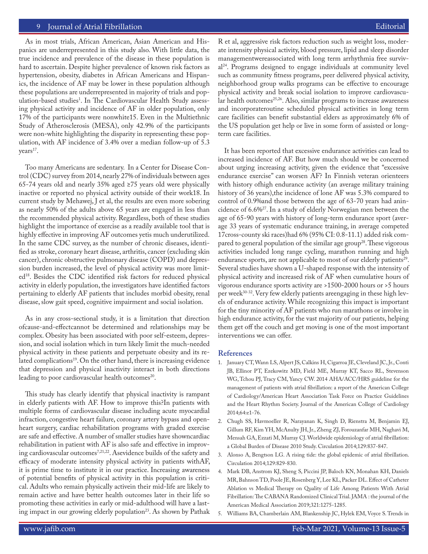#### 9 Journal of Atrial Fibrillation

As in most trials, African American, Asian American and Hispanics are underrepresented in this study also. With little data, the true incidence and prevalence of the disease in these population is hard to ascertain. Despite higher prevalence of known risk factors as hypertension, obesity, diabetes in African Americans and Hispanics, the incidence of AF may be lower in these population although these populations are underrepresented in majority of trials and population-based studies<sup>1</sup>. In The Cardiovascular Health Study assessing physical activity and incidence of AF in older population, only 17% of the participants were nonwhite15. Even in the Multiethnic Study of Atherosclerosis (MESA), only 42.9% of the participants were non-white highlighting the disparity in representing these population, with AF incidence of 3.4% over a median follow-up of 5.3 years<sup>17</sup>.

Too many Americans are sedentary. In a Center for Disease Control (CDC) survey from 2014, nearly 27% of individuals between ages 65-74 years old and nearly 35% aged ≥75 years old were physically inactive or reported no physical activity outside of their work18. In current study by Mehawej, J et al, the results are even more sobering as nearly 50% of the adults above 65 years are engaged in less than the recommended physical activity. Regardless, both of these studies highlight the importance of exercise as a readily available tool that is highly effective in improving AF outcomes yetis much underutilized. In the same CDC survey, as the number of chronic diseases, identified as stroke, coronary heart disease, arthritis, cancer (excluding skin cancer), chronic obstructive pulmonary disease (COPD) and depression burden increased, the level of physical activity was more limited18. Besides the CDC identified risk factors for reduced physical activity in elderly population, the investigators have identified factors pertaining to elderly AF patients that includes morbid obesity, renal disease, slow gait speed, cognitive impairment and social isolation.

As in any cross-sectional study, it is a limitation that direction ofcause-and-effectcannot be determined and relationships may be complex. Obesity has been associated with poor self-esteem, depression, and social isolation which in turn likely limit the much-needed physical activity in these patients and perpetuate obesity and its related complications<sup>19</sup>. On the other hand, there is increasing evidence that depression and physical inactivity interact in both directions leading to poor cardiovascular health outcomes<sup>20</sup>.

This study has clearly identify that physical inactivity is rampant in elderly patients with AF. How to improve this?In patients with multiple forms of cardiovascular disease including acute myocardial infraction, congestive heart failure, coronary artery bypass and openheart surgery, cardiac rehabilitation programs with graded exercise are safe and effective. A number of smaller studies have showncardiac rehabilitation in patient with AF is also safe and effective in improving cardiovascular outcomes<sup>7,21,22</sup>. Asevidence builds of the safety and efficacy of moderate intensity physical activity in patients withAF, it is prime time to institute it in our practice. Increasing awareness of potential benefits of physical activity in this population is critical. Adults who remain physically activein their mid-life are likely to remain active and have better health outcomes later in their life so promoting these activities in early or mid-adulthood will have a lasting impact in our growing elderly population<sup>23</sup>. As shown by Pathak R et al, aggressive risk factors reduction such as weight loss, moderate intensity physical activity, blood pressure, lipid and sleep disorder managementwereassociated with long term arrhythmia free survival24. Programs designed to engage individuals at community level such as community fitness programs, peer delivered physical activity, neighborhood group walks programs can be effective to encourage physical activity and break social isolation to improve cardiovascular health outcomes<sup>25,26</sup>. Also, similar programs to increase awareness and incorporateroutine scheduled physical activities in long term care facilities can benefit substantial elders as approximately 6% of the US population get help or live in some form of assisted or longterm care facilities.

It has been reported that excessive endurance activities can lead to increased incidence of AF. But how much should we be concerned about urging increasing activity, given the evidence that "excessive endurance exercise" can worsen AF? In Finnish veteran orienteers with history ofhigh endurance activity (an average military training history of 36 years),the incidence of lone AF was 5.3% compared to control of 0.9%and those between the age of 63-70 years had anincidence of 6.6%27. In a study of elderly Norwegian men between the age of 65-90 years with history of long-term endurance sport (average 33 years of systematic endurance training, in average competed 17cross-county ski races)had 6% (95% CI: 0.8-11.1) added risk compared to general population of the similar age group<sup>28</sup>. These vigorous activities included long range cycling, marathon running and high endurance sports, are not applicable to most of our elderly patients<sup>29</sup>. Several studies have shown a U-shaped response with the intensity of physical activity and increased risk of AF when cumulative hours of vigorous endurance sports activity are >1500-2000 hours or >5 hours per week<sup>30-32</sup>. Very few elderly patients areengaging in these high levels of endurance activity. While recognizing this impact is important for the tiny minority of AF patients who run marathons or involve in high endurance activity, for the vast majority of our patients, helping them get off the couch and get moving is one of the most important interventions we can offer.

#### **References**

- 1. January CT, Wann LS, Alpert JS, Calkins H, Cigarroa JE, Cleveland JC, Jr., Conti JB, Ellinor PT, Ezekowitz MD, Field ME, Murray KT, Sacco RL, Stevenson WG, Tchou PJ, Tracy CM, Yancy CW. 2014 AHA/ACC/HRS guideline for the management of patients with atrial fibrillation: a report of the American College of Cardiology/American Heart Association Task Force on Practice Guidelines and the Heart Rhythm Society. Journal of the American College of Cardiology 2014;64:e1-76.
- 2. Chugh SS, Havmoeller R, Narayanan K, Singh D, Rienstra M, Benjamin EJ, Gillum RF, Kim YH, McAnulty JH, Jr., Zheng ZJ, Forouzanfar MH, Naghavi M, Mensah GA, Ezzati M, Murray CJ. Worldwide epidemiology of atrial fibrillation: a Global Burden of Disease 2010 Study. Circulation 2014;129:837-847.
- 3. Alonso A, Bengtson LG. A rising tide: the global epidemic of atrial fibrillation. Circulation 2014;129:829-830.
- 4. Mark DB, Anstrom KJ, Sheng S, Piccini JP, Baloch KN, Monahan KH, Daniels MR, Bahnson TD, Poole JE, Rosenberg Y, Lee KL, Packer DL. Effect of Catheter Ablation vs Medical Therapy on Quality of Life Among Patients With Atrial Fibrillation: The CABANA Randomized Clinical Trial. JAMA : the journal of the American Medical Association 2019;321:1275-1285.
- 5. Williams BA, Chamberlain AM, Blankenship JC, Hylek EM, Voyce S. Trends in